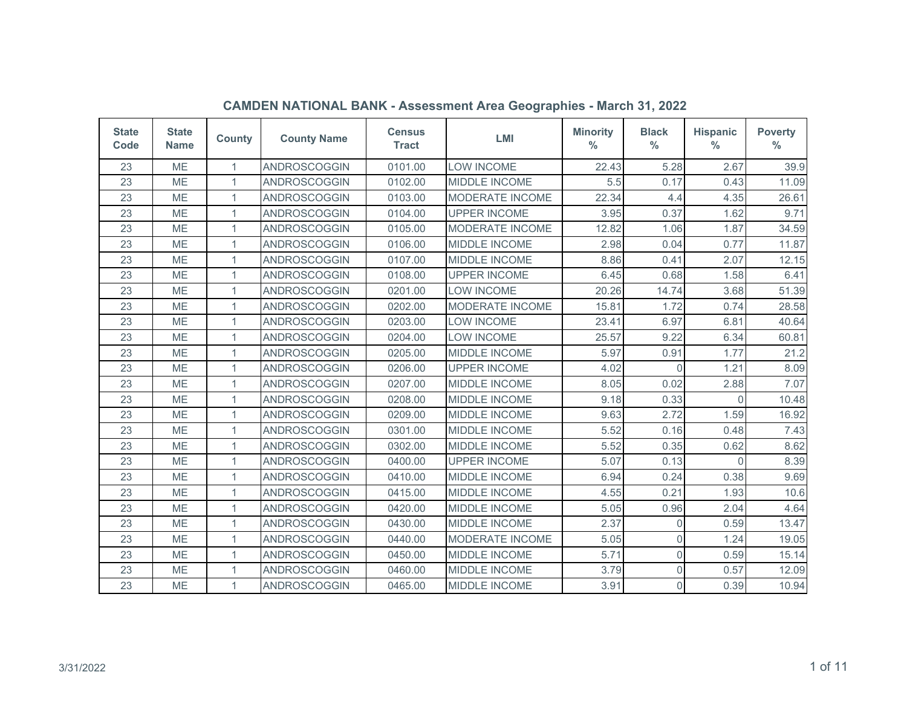| <b>State</b><br>Code | <b>State</b><br><b>Name</b> | <b>County</b> | <b>County Name</b>  | <b>Census</b><br><b>Tract</b> | <b>LMI</b>             | <b>Minority</b><br>$\frac{0}{0}$ | <b>Black</b><br>$\frac{0}{0}$ | <b>Hispanic</b><br>$\frac{0}{0}$ | <b>Poverty</b><br>$\frac{0}{0}$ |
|----------------------|-----------------------------|---------------|---------------------|-------------------------------|------------------------|----------------------------------|-------------------------------|----------------------------------|---------------------------------|
| 23                   | <b>ME</b>                   | 1             | <b>ANDROSCOGGIN</b> | 0101.00                       | <b>LOW INCOME</b>      | 22.43                            | 5.28                          | 2.67                             | 39.9                            |
| 23                   | <b>ME</b>                   | $\mathbf{1}$  | ANDROSCOGGIN        | 0102.00                       | <b>MIDDLE INCOME</b>   | 5.5                              | 0.17                          | 0.43                             | 11.09                           |
| 23                   | <b>ME</b>                   | 1             | ANDROSCOGGIN        | 0103.00                       | <b>MODERATE INCOME</b> | 22.34                            | 4.4                           | 4.35                             | 26.61                           |
| 23                   | <b>ME</b>                   | $\mathbf{1}$  | ANDROSCOGGIN        | 0104.00                       | <b>UPPER INCOME</b>    | 3.95                             | 0.37                          | 1.62                             | 9.71                            |
| 23                   | <b>ME</b>                   | $\mathbf{1}$  | <b>ANDROSCOGGIN</b> | 0105.00                       | MODERATE INCOME        | 12.82                            | 1.06                          | 1.87                             | 34.59                           |
| 23                   | <b>ME</b>                   | 1             | <b>ANDROSCOGGIN</b> | 0106.00                       | <b>MIDDLE INCOME</b>   | 2.98                             | 0.04                          | 0.77                             | 11.87                           |
| 23                   | <b>ME</b>                   | $\mathbf{1}$  | <b>ANDROSCOGGIN</b> | 0107.00                       | MIDDLE INCOME          | 8.86                             | 0.41                          | 2.07                             | 12.15                           |
| 23                   | ME                          | 1             | ANDROSCOGGIN        | 0108.00                       | <b>UPPER INCOME</b>    | 6.45                             | 0.68                          | 1.58                             | 6.41                            |
| 23                   | <b>ME</b>                   | $\mathbf{1}$  | ANDROSCOGGIN        | 0201.00                       | LOW INCOME             | 20.26                            | 14.74                         | 3.68                             | 51.39                           |
| 23                   | <b>ME</b>                   | 1             | ANDROSCOGGIN        | 0202.00                       | <b>MODERATE INCOME</b> | 15.81                            | 1.72                          | 0.74                             | 28.58                           |
| 23                   | ME                          | $\mathbf{1}$  | ANDROSCOGGIN        | 0203.00                       | <b>LOW INCOME</b>      | 23.41                            | 6.97                          | 6.81                             | 40.64                           |
| 23                   | ME                          | 1             | ANDROSCOGGIN        | 0204.00                       | <b>LOW INCOME</b>      | 25.57                            | 9.22                          | 6.34                             | 60.81                           |
| 23                   | ME                          | 1             | ANDROSCOGGIN        | 0205.00                       | <b>MIDDLE INCOME</b>   | 5.97                             | 0.91                          | 1.77                             | 21.2                            |
| 23                   | <b>ME</b>                   | $\mathbf{1}$  | ANDROSCOGGIN        | 0206.00                       | <b>UPPER INCOME</b>    | 4.02                             | $\Omega$                      | 1.21                             | 8.09                            |
| 23                   | <b>ME</b>                   | 1             | ANDROSCOGGIN        | 0207.00                       | <b>MIDDLE INCOME</b>   | 8.05                             | 0.02                          | 2.88                             | 7.07                            |
| 23                   | ME                          | 1             | ANDROSCOGGIN        | 0208.00                       | <b>MIDDLE INCOME</b>   | 9.18                             | 0.33                          | $\Omega$                         | 10.48                           |
| 23                   | <b>ME</b>                   | 1             | ANDROSCOGGIN        | 0209.00                       | <b>MIDDLE INCOME</b>   | 9.63                             | 2.72                          | 1.59                             | 16.92                           |
| 23                   | <b>ME</b>                   | $\mathbf{1}$  | <b>ANDROSCOGGIN</b> | 0301.00                       | <b>MIDDLE INCOME</b>   | 5.52                             | 0.16                          | 0.48                             | 7.43                            |
| 23                   | <b>ME</b>                   | 1             | <b>ANDROSCOGGIN</b> | 0302.00                       | <b>MIDDLE INCOME</b>   | 5.52                             | 0.35                          | 0.62                             | 8.62                            |
| 23                   | <b>ME</b>                   | $\mathbf{1}$  | ANDROSCOGGIN        | 0400.00                       | <b>UPPER INCOME</b>    | 5.07                             | 0.13                          | $\Omega$                         | 8.39                            |
| 23                   | <b>ME</b>                   | 1             | ANDROSCOGGIN        | 0410.00                       | <b>MIDDLE INCOME</b>   | 6.94                             | 0.24                          | 0.38                             | 9.69                            |
| 23                   | <b>ME</b>                   | $\mathbf{1}$  | <b>ANDROSCOGGIN</b> | 0415.00                       | <b>MIDDLE INCOME</b>   | 4.55                             | 0.21                          | 1.93                             | 10.6                            |
| 23                   | <b>ME</b>                   | 1             | <b>ANDROSCOGGIN</b> | 0420.00                       | MIDDLE INCOME          | 5.05                             | 0.96                          | 2.04                             | 4.64                            |
| 23                   | ME                          | 1             | ANDROSCOGGIN        | 0430.00                       | MIDDLE INCOME          | 2.37                             | $\Omega$                      | 0.59                             | 13.47                           |
| 23                   | ME                          | 1             | ANDROSCOGGIN        | 0440.00                       | <b>MODERATE INCOME</b> | 5.05                             | $\overline{0}$                | 1.24                             | 19.05                           |
| 23                   | <b>ME</b>                   | 1             | ANDROSCOGGIN        | 0450.00                       | <b>MIDDLE INCOME</b>   | 5.71                             | $\overline{0}$                | 0.59                             | 15.14                           |
| 23                   | ME                          | $\mathbf{1}$  | ANDROSCOGGIN        | 0460.00                       | MIDDLE INCOME          | 3.79                             | $\overline{0}$                | 0.57                             | 12.09                           |
| 23                   | ME                          | $\mathbf{1}$  | ANDROSCOGGIN        | 0465.00                       | <b>MIDDLE INCOME</b>   | 3.91                             | $\Omega$                      | 0.39                             | 10.94                           |

## **CAMDEN NATIONAL BANK - Assessment Area Geographies - March 31, 2022**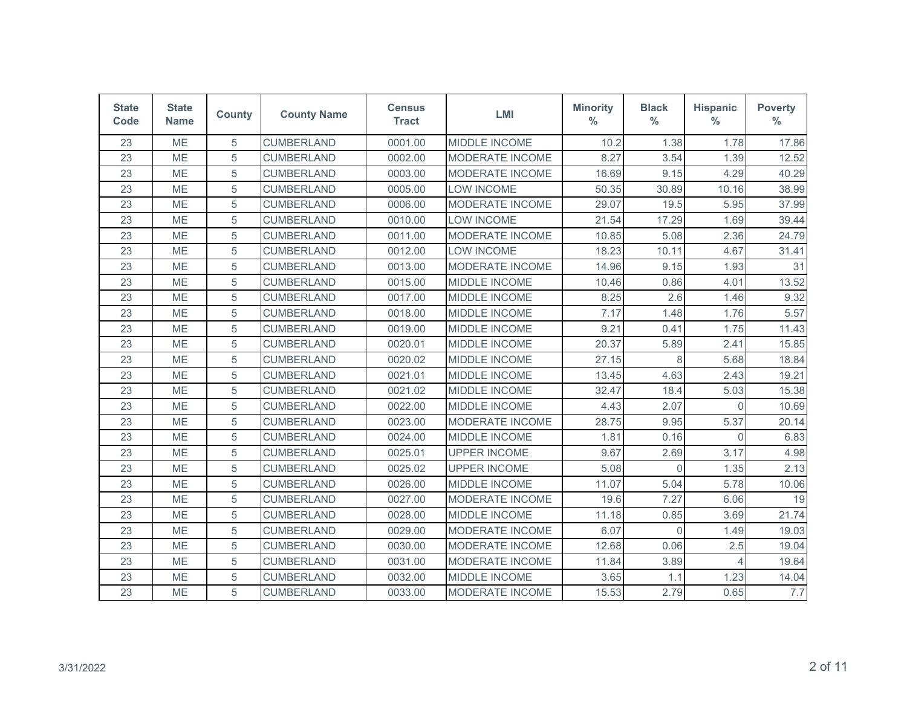| <b>State</b><br>Code | <b>State</b><br><b>Name</b> | <b>County</b> | <b>County Name</b> | <b>Census</b><br><b>Tract</b> | <b>LMI</b>             | <b>Minority</b><br>$\%$ | <b>Black</b><br>$\frac{0}{0}$ | <b>Hispanic</b><br>$\%$ | <b>Poverty</b><br>$\frac{0}{0}$ |
|----------------------|-----------------------------|---------------|--------------------|-------------------------------|------------------------|-------------------------|-------------------------------|-------------------------|---------------------------------|
| 23                   | ME                          | 5             | <b>CUMBERLAND</b>  | 0001.00                       | MIDDLE INCOME          | 10.2                    | 1.38                          | 1.78                    | 17.86                           |
| 23                   | <b>ME</b>                   | 5             | <b>CUMBERLAND</b>  | 0002.00                       | MODERATE INCOME        | 8.27                    | 3.54                          | 1.39                    | 12.52                           |
| 23                   | ME                          | 5             | <b>CUMBERLAND</b>  | 0003.00                       | <b>MODERATE INCOME</b> | 16.69                   | 9.15                          | 4.29                    | 40.29                           |
| 23                   | ME                          | 5             | <b>CUMBERLAND</b>  | 0005.00                       | LOW INCOME             | 50.35                   | 30.89                         | 10.16                   | 38.99                           |
| 23                   | <b>ME</b>                   | 5             | <b>CUMBERLAND</b>  | 0006.00                       | <b>MODERATE INCOME</b> | 29.07                   | 19.5                          | 5.95                    | 37.99                           |
| 23                   | <b>ME</b>                   | 5             | <b>CUMBERLAND</b>  | 0010.00                       | <b>LOW INCOME</b>      | 21.54                   | 17.29                         | 1.69                    | 39.44                           |
| 23                   | ME                          | 5             | <b>CUMBERLAND</b>  | 0011.00                       | MODERATE INCOME        | 10.85                   | 5.08                          | 2.36                    | 24.79                           |
| 23                   | ME                          | 5             | <b>CUMBERLAND</b>  | 0012.00                       | <b>LOW INCOME</b>      | 18.23                   | 10.11                         | 4.67                    | 31.41                           |
| 23                   | <b>ME</b>                   | 5             | <b>CUMBERLAND</b>  | 0013.00                       | MODERATE INCOME        | 14.96                   | 9.15                          | 1.93                    | 31                              |
| 23                   | <b>ME</b>                   | 5             | <b>CUMBERLAND</b>  | 0015.00                       | MIDDLE INCOME          | 10.46                   | 0.86                          | 4.01                    | 13.52                           |
| 23                   | ME                          | 5             | <b>CUMBERLAND</b>  | 0017.00                       | MIDDLE INCOME          | 8.25                    | 2.6                           | 1.46                    | 9.32                            |
| 23                   | ME                          | 5             | <b>CUMBERLAND</b>  | 0018.00                       | MIDDLE INCOME          | 7.17                    | 1.48                          | 1.76                    | 5.57                            |
| 23                   | <b>ME</b>                   | 5             | <b>CUMBERLAND</b>  | 0019.00                       | MIDDLE INCOME          | 9.21                    | 0.41                          | 1.75                    | 11.43                           |
| 23                   | <b>ME</b>                   | 5             | <b>CUMBERLAND</b>  | 0020.01                       | <b>MIDDLE INCOME</b>   | 20.37                   | 5.89                          | 2.41                    | 15.85                           |
| 23                   | <b>ME</b>                   | 5             | <b>CUMBERLAND</b>  | 0020.02                       | <b>MIDDLE INCOME</b>   | 27.15                   | 8                             | 5.68                    | 18.84                           |
| 23                   | <b>ME</b>                   | 5             | <b>CUMBERLAND</b>  | 0021.01                       | <b>MIDDLE INCOME</b>   | 13.45                   | 4.63                          | 2.43                    | 19.21                           |
| 23                   | <b>ME</b>                   | 5             | <b>CUMBERLAND</b>  | 0021.02                       | MIDDLE INCOME          | 32.47                   | 18.4                          | 5.03                    | 15.38                           |
| 23                   | ME                          | 5             | <b>CUMBERLAND</b>  | 0022.00                       | MIDDLE INCOME          | 4.43                    | 2.07                          | 0                       | 10.69                           |
| 23                   | ME                          | 5             | <b>CUMBERLAND</b>  | 0023.00                       | MODERATE INCOME        | 28.75                   | 9.95                          | 5.37                    | 20.14                           |
| 23                   | <b>ME</b>                   | 5             | <b>CUMBERLAND</b>  | 0024.00                       | MIDDLE INCOME          | 1.81                    | 0.16                          | $\Omega$                | 6.83                            |
| 23                   | <b>ME</b>                   | 5             | <b>CUMBERLAND</b>  | 0025.01                       | <b>UPPER INCOME</b>    | 9.67                    | 2.69                          | 3.17                    | 4.98                            |
| 23                   | <b>ME</b>                   | 5             | <b>CUMBERLAND</b>  | 0025.02                       | <b>UPPER INCOME</b>    | 5.08                    | $\Omega$                      | 1.35                    | 2.13                            |
| 23                   | ME                          | 5             | <b>CUMBERLAND</b>  | 0026.00                       | MIDDLE INCOME          | 11.07                   | 5.04                          | 5.78                    | 10.06                           |
| 23                   | <b>ME</b>                   | 5             | <b>CUMBERLAND</b>  | 0027.00                       | MODERATE INCOME        | 19.6                    | 7.27                          | 6.06                    | 19                              |
| 23                   | ME                          | 5             | <b>CUMBERLAND</b>  | 0028.00                       | <b>MIDDLE INCOME</b>   | 11.18                   | 0.85                          | 3.69                    | 21.74                           |
| 23                   | <b>ME</b>                   | 5             | <b>CUMBERLAND</b>  | 0029.00                       | MODERATE INCOME        | 6.07                    | $\Omega$                      | 1.49                    | 19.03                           |
| 23                   | <b>ME</b>                   | 5             | <b>CUMBERLAND</b>  | 0030.00                       | MODERATE INCOME        | 12.68                   | 0.06                          | 2.5                     | 19.04                           |
| 23                   | <b>ME</b>                   | 5             | <b>CUMBERLAND</b>  | 0031.00                       | MODERATE INCOME        | 11.84                   | 3.89                          | Δ                       | 19.64                           |
| 23                   | ME                          | 5             | <b>CUMBERLAND</b>  | 0032.00                       | <b>MIDDLE INCOME</b>   | 3.65                    | 1.1                           | 1.23                    | 14.04                           |
| 23                   | ME                          | 5             | <b>CUMBERLAND</b>  | 0033.00                       | MODERATE INCOME        | 15.53                   | 2.79                          | 0.65                    | 7.7                             |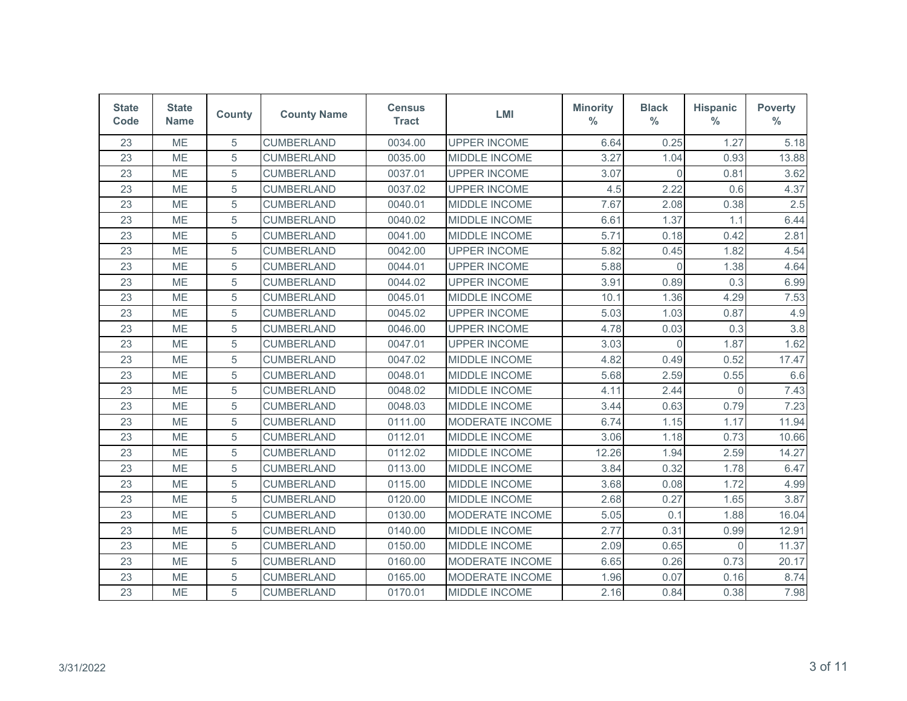| <b>State</b><br>Code | <b>State</b><br><b>Name</b> | <b>County</b> | <b>County Name</b> | <b>Census</b><br><b>Tract</b> | <b>LMI</b>           | <b>Minority</b><br>$\%$ | <b>Black</b><br>$\%$ | <b>Hispanic</b><br>$\frac{0}{0}$ | <b>Poverty</b><br>$\%$ |
|----------------------|-----------------------------|---------------|--------------------|-------------------------------|----------------------|-------------------------|----------------------|----------------------------------|------------------------|
| 23                   | ME                          | 5             | <b>CUMBERLAND</b>  | 0034.00                       | <b>UPPER INCOME</b>  | 6.64                    | 0.25                 | 1.27                             | 5.18                   |
| 23                   | <b>ME</b>                   | 5             | <b>CUMBERLAND</b>  | 0035.00                       | MIDDLE INCOME        | 3.27                    | 1.04                 | 0.93                             | 13.88                  |
| 23                   | ME                          | 5             | <b>CUMBERLAND</b>  | 0037.01                       | <b>UPPER INCOME</b>  | 3.07                    | $\overline{0}$       | 0.81                             | 3.62                   |
| 23                   | ME                          | 5             | <b>CUMBERLAND</b>  | 0037.02                       | <b>UPPER INCOME</b>  | 4.5                     | 2.22                 | 0.6                              | 4.37                   |
| 23                   | <b>ME</b>                   | 5             | <b>CUMBERLAND</b>  | 0040.01                       | <b>MIDDLE INCOME</b> | 7.67                    | 2.08                 | 0.38                             | 2.5                    |
| 23                   | <b>ME</b>                   | 5             | <b>CUMBERLAND</b>  | 0040.02                       | MIDDLE INCOME        | 6.61                    | 1.37                 | 1.1                              | 6.44                   |
| 23                   | ME                          | 5             | <b>CUMBERLAND</b>  | 0041.00                       | MIDDLE INCOME        | 5.71                    | 0.18                 | 0.42                             | 2.81                   |
| 23                   | <b>ME</b>                   | 5             | <b>CUMBERLAND</b>  | 0042.00                       | <b>UPPER INCOME</b>  | 5.82                    | 0.45                 | 1.82                             | 4.54                   |
| 23                   | <b>ME</b>                   | 5             | <b>CUMBERLAND</b>  | 0044.01                       | <b>UPPER INCOME</b>  | 5.88                    | $\Omega$             | 1.38                             | 4.64                   |
| 23                   | <b>ME</b>                   | 5             | <b>CUMBERLAND</b>  | 0044.02                       | <b>UPPER INCOME</b>  | 3.91                    | 0.89                 | 0.3                              | 6.99                   |
| 23                   | ME                          | 5             | <b>CUMBERLAND</b>  | 0045.01                       | MIDDLE INCOME        | 10.1                    | 1.36                 | 4.29                             | 7.53                   |
| 23                   | ME                          | 5             | <b>CUMBERLAND</b>  | 0045.02                       | <b>UPPER INCOME</b>  | 5.03                    | 1.03                 | 0.87                             | 4.9                    |
| 23                   | <b>ME</b>                   | 5             | <b>CUMBERLAND</b>  | 0046.00                       | <b>UPPER INCOME</b>  | 4.78                    | 0.03                 | 0.3                              | 3.8                    |
| 23                   | <b>ME</b>                   | 5             | <b>CUMBERLAND</b>  | 0047.01                       | <b>UPPER INCOME</b>  | 3.03                    | $\Omega$             | 1.87                             | 1.62                   |
| 23                   | ME                          | 5             | <b>CUMBERLAND</b>  | 0047.02                       | MIDDLE INCOME        | 4.82                    | 0.49                 | 0.52                             | 17.47                  |
| 23                   | <b>ME</b>                   | 5             | <b>CUMBERLAND</b>  | 0048.01                       | <b>MIDDLE INCOME</b> | 5.68                    | 2.59                 | 0.55                             | 6.6                    |
| 23                   | ME                          | 5             | <b>CUMBERLAND</b>  | 0048.02                       | MIDDLE INCOME        | 4.11                    | 2.44                 | $\Omega$                         | 7.43                   |
| 23                   | <b>ME</b>                   | 5             | <b>CUMBERLAND</b>  | 0048.03                       | <b>MIDDLE INCOME</b> | 3.44                    | 0.63                 | 0.79                             | 7.23                   |
| 23                   | ME                          | 5             | <b>CUMBERLAND</b>  | 0111.00                       | MODERATE INCOME      | 6.74                    | 1.15                 | 1.17                             | 11.94                  |
| 23                   | <b>ME</b>                   | 5             | <b>CUMBERLAND</b>  | 0112.01                       | MIDDLE INCOME        | 3.06                    | 1.18                 | 0.73                             | 10.66                  |
| 23                   | ME                          | 5             | <b>CUMBERLAND</b>  | 0112.02                       | MIDDLE INCOME        | 12.26                   | 1.94                 | 2.59                             | 14.27                  |
| 23                   | ME                          | 5             | <b>CUMBERLAND</b>  | 0113.00                       | MIDDLE INCOME        | 3.84                    | 0.32                 | 1.78                             | 6.47                   |
| 23                   | ME                          | 5             | <b>CUMBERLAND</b>  | 0115.00                       | MIDDLE INCOME        | 3.68                    | 0.08                 | 1.72                             | 4.99                   |
| 23                   | ME                          | 5             | <b>CUMBERLAND</b>  | 0120.00                       | MIDDLE INCOME        | 2.68                    | 0.27                 | 1.65                             | 3.87                   |
| 23                   | ME                          | 5             | <b>CUMBERLAND</b>  | 0130.00                       | MODERATE INCOME      | 5.05                    | 0.1                  | 1.88                             | 16.04                  |
| 23                   | <b>ME</b>                   | 5             | <b>CUMBERLAND</b>  | 0140.00                       | MIDDLE INCOME        | 2.77                    | 0.31                 | 0.99                             | 12.91                  |
| 23                   | <b>ME</b>                   | 5             | <b>CUMBERLAND</b>  | 0150.00                       | MIDDLE INCOME        | 2.09                    | 0.65                 | $\Omega$                         | 11.37                  |
| 23                   | ME                          | 5             | <b>CUMBERLAND</b>  | 0160.00                       | MODERATE INCOME      | 6.65                    | 0.26                 | 0.73                             | 20.17                  |
| 23                   | ME                          | 5             | <b>CUMBERLAND</b>  | 0165.00                       | MODERATE INCOME      | 1.96                    | 0.07                 | 0.16                             | 8.74                   |
| 23                   | ME                          | 5             | <b>CUMBERLAND</b>  | 0170.01                       | <b>MIDDLE INCOME</b> | 2.16                    | 0.84                 | 0.38                             | 7.98                   |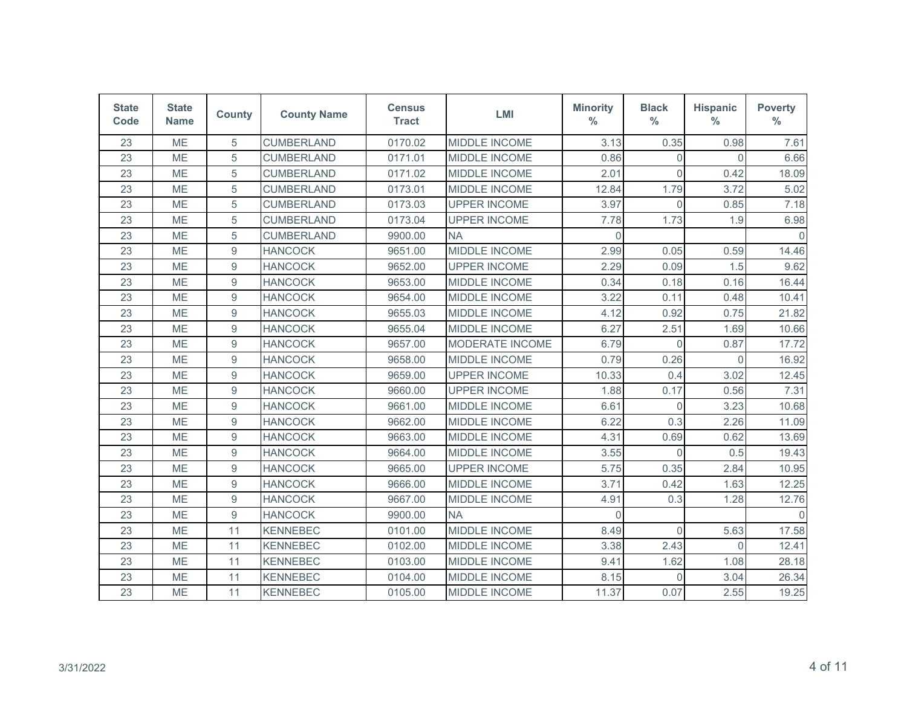| <b>State</b><br>Code | <b>State</b><br><b>Name</b> | <b>County</b>    | <b>County Name</b> | <b>Census</b><br><b>Tract</b> | <b>LMI</b>             | <b>Minority</b><br>$\%$ | <b>Black</b><br>$\frac{0}{0}$ | <b>Hispanic</b><br>$\frac{0}{0}$ | <b>Poverty</b><br>$\frac{0}{0}$ |
|----------------------|-----------------------------|------------------|--------------------|-------------------------------|------------------------|-------------------------|-------------------------------|----------------------------------|---------------------------------|
| 23                   | ME                          | 5                | <b>CUMBERLAND</b>  | 0170.02                       | MIDDLE INCOME          | 3.13                    | 0.35                          | 0.98                             | 7.61                            |
| 23                   | <b>ME</b>                   | 5                | <b>CUMBERLAND</b>  | 0171.01                       | MIDDLE INCOME          | 0.86                    | $\Omega$                      | $\Omega$                         | 6.66                            |
| 23                   | ME                          | 5                | <b>CUMBERLAND</b>  | 0171.02                       | MIDDLE INCOME          | 2.01                    | $\Omega$                      | 0.42                             | 18.09                           |
| 23                   | ME                          | 5                | <b>CUMBERLAND</b>  | 0173.01                       | MIDDLE INCOME          | 12.84                   | 1.79                          | 3.72                             | 5.02                            |
| 23                   | ME                          | 5                | <b>CUMBERLAND</b>  | 0173.03                       | <b>UPPER INCOME</b>    | 3.97                    | $\overline{0}$                | 0.85                             | 7.18                            |
| 23                   | <b>ME</b>                   | 5                | <b>CUMBERLAND</b>  | 0173.04                       | <b>UPPER INCOME</b>    | 7.78                    | 1.73                          | 1.9                              | 6.98                            |
| 23                   | ME                          | 5                | <b>CUMBERLAND</b>  | 9900.00                       | <b>NA</b>              | $\Omega$                |                               |                                  | $\Omega$                        |
| 23                   | ME                          | $\boldsymbol{9}$ | <b>HANCOCK</b>     | 9651.00                       | MIDDLE INCOME          | 2.99                    | 0.05                          | 0.59                             | 14.46                           |
| 23                   | ME                          | 9                | <b>HANCOCK</b>     | 9652.00                       | <b>UPPER INCOME</b>    | 2.29                    | 0.09                          | 1.5                              | 9.62                            |
| 23                   | <b>ME</b>                   | 9                | <b>HANCOCK</b>     | 9653.00                       | <b>MIDDLE INCOME</b>   | 0.34                    | 0.18                          | 0.16                             | 16.44                           |
| 23                   | ME                          | $\boldsymbol{9}$ | <b>HANCOCK</b>     | 9654.00                       | MIDDLE INCOME          | 3.22                    | 0.11                          | 0.48                             | 10.41                           |
| 23                   | ME                          | $\boldsymbol{9}$ | <b>HANCOCK</b>     | 9655.03                       | MIDDLE INCOME          | 4.12                    | 0.92                          | 0.75                             | 21.82                           |
| 23                   | ME                          | 9                | <b>HANCOCK</b>     | 9655.04                       | MIDDLE INCOME          | 6.27                    | 2.51                          | 1.69                             | 10.66                           |
| 23                   | <b>ME</b>                   | 9                | <b>HANCOCK</b>     | 9657.00                       | <b>MODERATE INCOME</b> | 6.79                    | $\Omega$                      | 0.87                             | 17.72                           |
| 23                   | <b>ME</b>                   | $\boldsymbol{9}$ | <b>HANCOCK</b>     | 9658.00                       | MIDDLE INCOME          | 0.79                    | 0.26                          | $\Omega$                         | 16.92                           |
| 23                   | ME                          | 9                | <b>HANCOCK</b>     | 9659.00                       | <b>UPPER INCOME</b>    | 10.33                   | 0.4                           | 3.02                             | 12.45                           |
| 23                   | ME                          | 9                | <b>HANCOCK</b>     | 9660.00                       | <b>UPPER INCOME</b>    | 1.88                    | 0.17                          | 0.56                             | 7.31                            |
| 23                   | ME                          | 9                | <b>HANCOCK</b>     | 9661.00                       | MIDDLE INCOME          | 6.61                    | $\mathbf 0$                   | 3.23                             | 10.68                           |
| 23                   | <b>ME</b>                   | 9                | <b>HANCOCK</b>     | 9662.00                       | MIDDLE INCOME          | 6.22                    | 0.3                           | 2.26                             | 11.09                           |
| 23                   | ME                          | $\boldsymbol{9}$ | <b>HANCOCK</b>     | 9663.00                       | MIDDLE INCOME          | 4.31                    | 0.69                          | 0.62                             | 13.69                           |
| 23                   | ME                          | $\boldsymbol{9}$ | <b>HANCOCK</b>     | 9664.00                       | MIDDLE INCOME          | 3.55                    | $\Omega$                      | 0.5                              | 19.43                           |
| 23                   | ME                          | $\boldsymbol{9}$ | <b>HANCOCK</b>     | 9665.00                       | <b>UPPER INCOME</b>    | 5.75                    | 0.35                          | 2.84                             | 10.95                           |
| 23                   | <b>ME</b>                   | 9                | <b>HANCOCK</b>     | 9666.00                       | MIDDLE INCOME          | 3.71                    | 0.42                          | 1.63                             | 12.25                           |
| 23                   | ME                          | 9                | <b>HANCOCK</b>     | 9667.00                       | MIDDLE INCOME          | 4.91                    | 0.3                           | 1.28                             | 12.76                           |
| 23                   | ME                          | 9                | <b>HANCOCK</b>     | 9900.00                       | <b>NA</b>              | $\Omega$                |                               |                                  | $\Omega$                        |
| 23                   | ME                          | 11               | <b>KENNEBEC</b>    | 0101.00                       | MIDDLE INCOME          | 8.49                    | $\Omega$                      | 5.63                             | 17.58                           |
| 23                   | <b>ME</b>                   | 11               | <b>KENNEBEC</b>    | 0102.00                       | MIDDLE INCOME          | 3.38                    | 2.43                          | $\Omega$                         | 12.41                           |
| 23                   | <b>ME</b>                   | 11               | <b>KENNEBEC</b>    | 0103.00                       | MIDDLE INCOME          | 9.41                    | 1.62                          | 1.08                             | 28.18                           |
| 23                   | ME                          | 11               | <b>KENNEBEC</b>    | 0104.00                       | MIDDLE INCOME          | 8.15                    | $\Omega$                      | 3.04                             | 26.34                           |
| 23                   | ME                          | 11               | <b>KENNEBEC</b>    | 0105.00                       | MIDDLE INCOME          | 11.37                   | 0.07                          | 2.55                             | 19.25                           |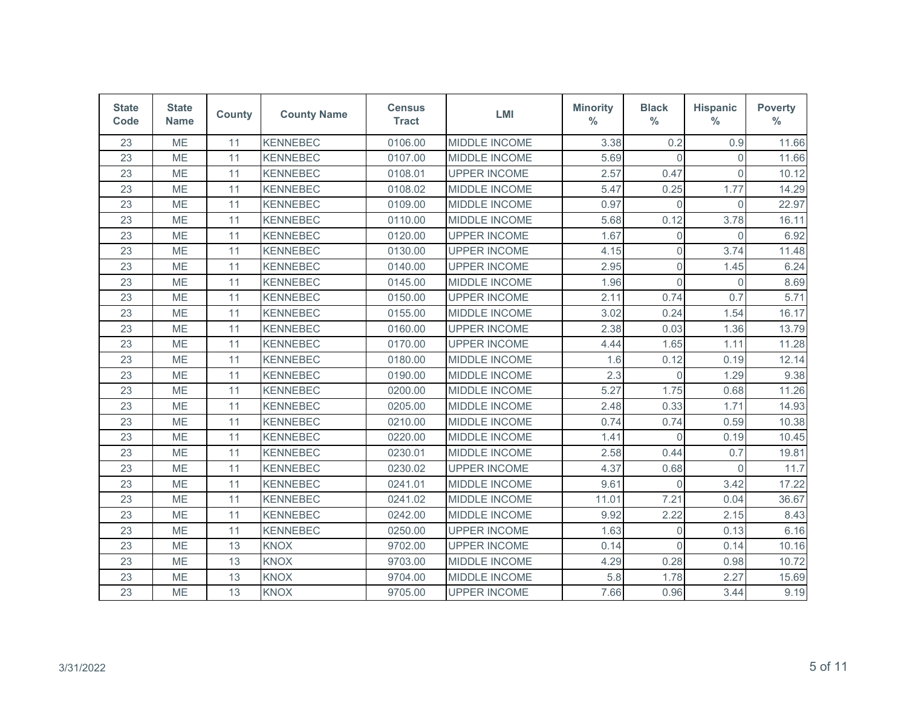| <b>State</b><br>Code | <b>State</b><br><b>Name</b> | <b>County</b> | <b>County Name</b> | <b>Census</b><br><b>Tract</b> | LMI                  | <b>Minority</b><br>$\%$ | <b>Black</b><br>$\%$ | <b>Hispanic</b><br>$\frac{0}{0}$ | <b>Poverty</b><br>$\%$ |
|----------------------|-----------------------------|---------------|--------------------|-------------------------------|----------------------|-------------------------|----------------------|----------------------------------|------------------------|
| 23                   | ME                          | 11            | <b>KENNEBEC</b>    | 0106.00                       | MIDDLE INCOME        | 3.38                    | 0.2                  | 0.9                              | 11.66                  |
| 23                   | <b>ME</b>                   | 11            | <b>KENNEBEC</b>    | 0107.00                       | MIDDLE INCOME        | 5.69                    | $\Omega$             | $\Omega$                         | 11.66                  |
| 23                   | ME                          | 11            | <b>KENNEBEC</b>    | 0108.01                       | <b>UPPER INCOME</b>  | 2.57                    | 0.47                 | $\Omega$                         | 10.12                  |
| 23                   | ME                          | 11            | <b>KENNEBEC</b>    | 0108.02                       | MIDDLE INCOME        | 5.47                    | 0.25                 | 1.77                             | 14.29                  |
| 23                   | ME                          | 11            | <b>KENNEBEC</b>    | 0109.00                       | MIDDLE INCOME        | 0.97                    | $\Omega$             | $\overline{0}$                   | 22.97                  |
| 23                   | <b>ME</b>                   | 11            | <b>KENNEBEC</b>    | 0110.00                       | <b>MIDDLE INCOME</b> | 5.68                    | 0.12                 | 3.78                             | 16.11                  |
| 23                   | ME                          | 11            | <b>KENNEBEC</b>    | 0120.00                       | <b>UPPER INCOME</b>  | 1.67                    | $\overline{0}$       | $\Omega$                         | 6.92                   |
| 23                   | ME                          | 11            | <b>KENNEBEC</b>    | 0130.00                       | <b>UPPER INCOME</b>  | 4.15                    | $\mathsf 0$          | 3.74                             | 11.48                  |
| 23                   | ME                          | 11            | <b>KENNEBEC</b>    | 0140.00                       | <b>UPPER INCOME</b>  | 2.95                    | $\overline{0}$       | 1.45                             | 6.24                   |
| 23                   | <b>ME</b>                   | 11            | <b>KENNEBEC</b>    | 0145.00                       | <b>MIDDLE INCOME</b> | 1.96                    | $\Omega$             | $\Omega$                         | 8.69                   |
| 23                   | ME                          | 11            | <b>KENNEBEC</b>    | 0150.00                       | <b>UPPER INCOME</b>  | 2.11                    | 0.74                 | 0.7                              | 5.71                   |
| 23                   | ME                          | 11            | <b>KENNEBEC</b>    | 0155.00                       | MIDDLE INCOME        | 3.02                    | 0.24                 | 1.54                             | 16.17                  |
| 23                   | ME                          | 11            | <b>KENNEBEC</b>    | 0160.00                       | <b>UPPER INCOME</b>  | 2.38                    | 0.03                 | 1.36                             | 13.79                  |
| 23                   | ME                          | 11            | <b>KENNEBEC</b>    | 0170.00                       | <b>UPPER INCOME</b>  | 4.44                    | 1.65                 | 1.11                             | 11.28                  |
| 23                   | <b>ME</b>                   | 11            | <b>KENNEBEC</b>    | 0180.00                       | MIDDLE INCOME        | 1.6                     | 0.12                 | 0.19                             | 12.14                  |
| 23                   | ME                          | 11            | <b>KENNEBEC</b>    | 0190.00                       | MIDDLE INCOME        | 2.3                     | $\Omega$             | 1.29                             | 9.38                   |
| 23                   | ME                          | 11            | <b>KENNEBEC</b>    | 0200.00                       | MIDDLE INCOME        | 5.27                    | 1.75                 | 0.68                             | 11.26                  |
| 23                   | ME                          | 11            | <b>KENNEBEC</b>    | 0205.00                       | <b>MIDDLE INCOME</b> | 2.48                    | 0.33                 | 1.71                             | 14.93                  |
| 23                   | ME                          | 11            | <b>KENNEBEC</b>    | 0210.00                       | MIDDLE INCOME        | 0.74                    | 0.74                 | 0.59                             | 10.38                  |
| 23                   | ME                          | 11            | <b>KENNEBEC</b>    | 0220.00                       | MIDDLE INCOME        | 1.41                    | $\Omega$             | 0.19                             | 10.45                  |
| 23                   | ME                          | 11            | <b>KENNEBEC</b>    | 0230.01                       | MIDDLE INCOME        | 2.58                    | 0.44                 | 0.7                              | 19.81                  |
| 23                   | ME                          | 11            | <b>KENNEBEC</b>    | 0230.02                       | <b>UPPER INCOME</b>  | 4.37                    | 0.68                 | $\mathbf{0}$                     | 11.7                   |
| 23                   | ME                          | 11            | <b>KENNEBEC</b>    | 0241.01                       | MIDDLE INCOME        | 9.61                    | $\Omega$             | 3.42                             | 17.22                  |
| 23                   | ME                          | 11            | <b>KENNEBEC</b>    | 0241.02                       | MIDDLE INCOME        | 11.01                   | 7.21                 | 0.04                             | 36.67                  |
| 23                   | ME                          | 11            | <b>KENNEBEC</b>    | 0242.00                       | MIDDLE INCOME        | 9.92                    | 2.22                 | 2.15                             | 8.43                   |
| 23                   | ME                          | 11            | <b>KENNEBEC</b>    | 0250.00                       | <b>UPPER INCOME</b>  | 1.63                    | 0                    | 0.13                             | 6.16                   |
| 23                   | <b>ME</b>                   | 13            | <b>KNOX</b>        | 9702.00                       | <b>UPPER INCOME</b>  | 0.14                    | $\Omega$             | 0.14                             | 10.16                  |
| 23                   | ME                          | 13            | <b>KNOX</b>        | 9703.00                       | MIDDLE INCOME        | 4.29                    | 0.28                 | 0.98                             | 10.72                  |
| 23                   | ME                          | 13            | <b>KNOX</b>        | 9704.00                       | MIDDLE INCOME        | 5.8                     | 1.78                 | 2.27                             | 15.69                  |
| 23                   | ME                          | 13            | <b>KNOX</b>        | 9705.00                       | <b>UPPER INCOME</b>  | 7.66                    | 0.96                 | 3.44                             | 9.19                   |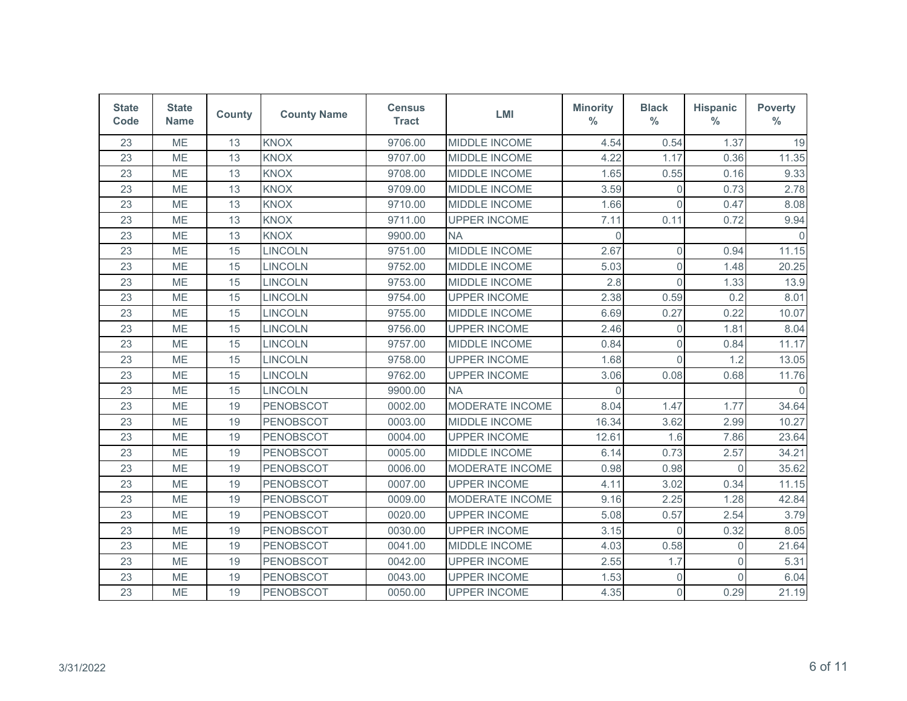| <b>State</b><br>Code | <b>State</b><br><b>Name</b> | <b>County</b> | <b>County Name</b> | <b>Census</b><br><b>Tract</b> | <b>LMI</b>           | <b>Minority</b><br>$\%$ | <b>Black</b><br>$\%$ | <b>Hispanic</b><br>$\frac{0}{0}$ | <b>Poverty</b><br>$\%$ |
|----------------------|-----------------------------|---------------|--------------------|-------------------------------|----------------------|-------------------------|----------------------|----------------------------------|------------------------|
| 23                   | <b>ME</b>                   | 13            | <b>KNOX</b>        | 9706.00                       | MIDDLE INCOME        | 4.54                    | 0.54                 | 1.37                             | 19                     |
| 23                   | <b>ME</b>                   | 13            | <b>KNOX</b>        | 9707.00                       | MIDDLE INCOME        | 4.22                    | 1.17                 | 0.36                             | 11.35                  |
| 23                   | ME                          | 13            | <b>KNOX</b>        | 9708.00                       | MIDDLE INCOME        | 1.65                    | 0.55                 | 0.16                             | 9.33                   |
| 23                   | ME                          | 13            | <b>KNOX</b>        | 9709.00                       | MIDDLE INCOME        | 3.59                    | 0                    | 0.73                             | 2.78                   |
| 23                   | <b>ME</b>                   | 13            | <b>KNOX</b>        | 9710.00                       | MIDDLE INCOME        | 1.66                    | $\Omega$             | 0.47                             | 8.08                   |
| 23                   | ME                          | 13            | <b>KNOX</b>        | 9711.00                       | <b>UPPER INCOME</b>  | 7.11                    | 0.11                 | 0.72                             | 9.94                   |
| 23                   | ME                          | 13            | <b>KNOX</b>        | 9900.00                       | <b>NA</b>            | $\mathbf{0}$            |                      |                                  |                        |
| 23                   | <b>ME</b>                   | 15            | <b>LINCOLN</b>     | 9751.00                       | MIDDLE INCOME        | 2.67                    | $\overline{0}$       | 0.94                             | 11.15                  |
| 23                   | <b>ME</b>                   | 15            | LINCOLN            | 9752.00                       | <b>MIDDLE INCOME</b> | 5.03                    | $\overline{0}$       | 1.48                             | 20.25                  |
| 23                   | ME                          | 15            | <b>LINCOLN</b>     | 9753.00                       | MIDDLE INCOME        | 2.8                     | $\overline{0}$       | 1.33                             | 13.9                   |
| 23                   | <b>ME</b>                   | 15            | <b>LINCOLN</b>     | 9754.00                       | <b>UPPER INCOME</b>  | 2.38                    | 0.59                 | 0.2                              | 8.01                   |
| 23                   | ME                          | 15            | <b>LINCOLN</b>     | 9755.00                       | MIDDLE INCOME        | 6.69                    | 0.27                 | 0.22                             | 10.07                  |
| 23                   | ME                          | 15            | <b>LINCOLN</b>     | 9756.00                       | <b>UPPER INCOME</b>  | 2.46                    | $\Omega$             | 1.81                             | 8.04                   |
| 23                   | <b>ME</b>                   | 15            | <b>LINCOLN</b>     | 9757.00                       | <b>MIDDLE INCOME</b> | 0.84                    | $\Omega$             | 0.84                             | 11.17                  |
| 23                   | <b>ME</b>                   | 15            | <b>LINCOLN</b>     | 9758.00                       | <b>UPPER INCOME</b>  | 1.68                    | $\Omega$             | 1.2                              | 13.05                  |
| 23                   | ME                          | 15            | <b>LINCOLN</b>     | 9762.00                       | <b>UPPER INCOME</b>  | 3.06                    | 0.08                 | 0.68                             | 11.76                  |
| 23                   | ME                          | 15            | <b>LINCOLN</b>     | 9900.00                       | <b>NA</b>            | $\Omega$                |                      |                                  |                        |
| 23                   | <b>ME</b>                   | 19            | <b>PENOBSCOT</b>   | 0002.00                       | MODERATE INCOME      | 8.04                    | 1.47                 | 1.77                             | 34.64                  |
| 23                   | ME                          | 19            | PENOBSCOT          | 0003.00                       | MIDDLE INCOME        | 16.34                   | 3.62                 | 2.99                             | 10.27                  |
| 23                   | ME                          | 19            | <b>PENOBSCOT</b>   | 0004.00                       | <b>UPPER INCOME</b>  | 12.61                   | 1.6                  | 7.86                             | 23.64                  |
| 23                   | ME                          | 19            | <b>PENOBSCOT</b>   | 0005.00                       | <b>MIDDLE INCOME</b> | 6.14                    | 0.73                 | 2.57                             | 34.21                  |
| 23                   | <b>ME</b>                   | 19            | <b>PENOBSCOT</b>   | 0006.00                       | MODERATE INCOME      | 0.98                    | 0.98                 | $\Omega$                         | 35.62                  |
| 23                   | ME                          | 19            | <b>PENOBSCOT</b>   | 0007.00                       | <b>UPPER INCOME</b>  | 4.11                    | 3.02                 | 0.34                             | 11.15                  |
| 23                   | <b>ME</b>                   | 19            | <b>PENOBSCOT</b>   | 0009.00                       | MODERATE INCOME      | 9.16                    | 2.25                 | 1.28                             | 42.84                  |
| 23                   | ME                          | 19            | <b>PENOBSCOT</b>   | 0020.00                       | <b>UPPER INCOME</b>  | 5.08                    | 0.57                 | 2.54                             | 3.79                   |
| 23                   | ME                          | 19            | PENOBSCOT          | 0030.00                       | <b>UPPER INCOME</b>  | 3.15                    | $\Omega$             | 0.32                             | 8.05                   |
| 23                   | ME                          | 19            | PENOBSCOT          | 0041.00                       | MIDDLE INCOME        | 4.03                    | 0.58                 | $\overline{0}$                   | 21.64                  |
| 23                   | ME                          | 19            | PENOBSCOT          | 0042.00                       | <b>UPPER INCOME</b>  | 2.55                    | 1.7                  | $\overline{0}$                   | 5.31                   |
| 23                   | ME                          | 19            | <b>PENOBSCOT</b>   | 0043.00                       | <b>UPPER INCOME</b>  | 1.53                    | $\overline{0}$       | $\Omega$                         | 6.04                   |
| 23                   | ME                          | 19            | <b>PENOBSCOT</b>   | 0050.00                       | <b>UPPER INCOME</b>  | 4.35                    | $\mathbf 0$          | 0.29                             | 21.19                  |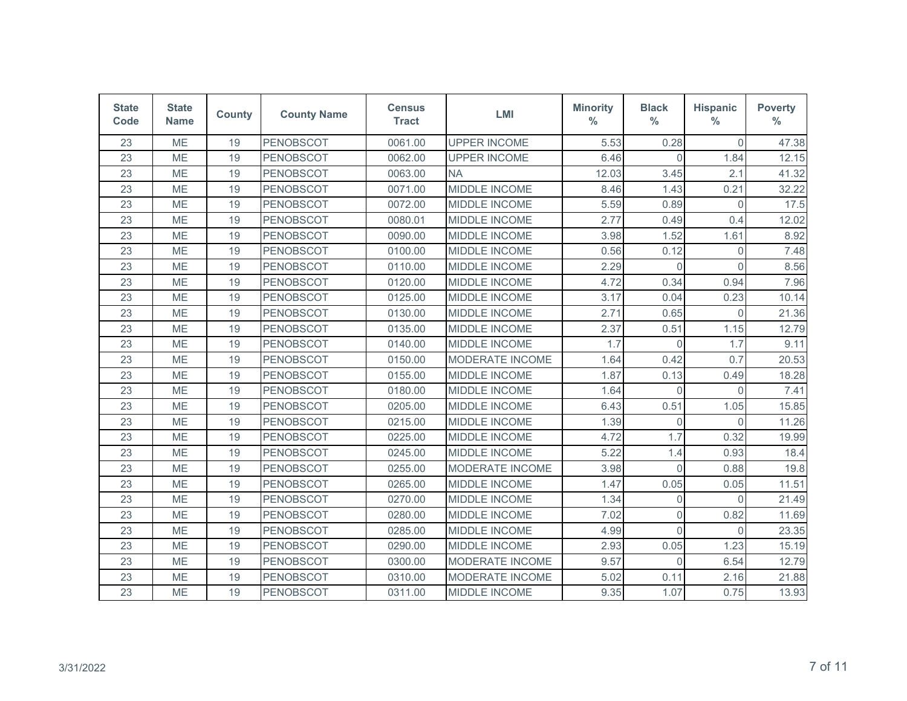| <b>State</b><br>Code | <b>State</b><br><b>Name</b> | <b>County</b> | <b>County Name</b> | <b>Census</b><br><b>Tract</b> | <b>LMI</b>             | <b>Minority</b><br>$\%$ | <b>Black</b><br>$\%$ | <b>Hispanic</b><br>$\frac{0}{0}$ | <b>Poverty</b><br>$\%$ |
|----------------------|-----------------------------|---------------|--------------------|-------------------------------|------------------------|-------------------------|----------------------|----------------------------------|------------------------|
| 23                   | <b>ME</b>                   | 19            | <b>PENOBSCOT</b>   | 0061.00                       | <b>UPPER INCOME</b>    | 5.53                    | 0.28                 | $\Omega$                         | 47.38                  |
| 23                   | ME                          | 19            | <b>PENOBSCOT</b>   | 0062.00                       | <b>UPPER INCOME</b>    | 6.46                    | $\Omega$             | 1.84                             | 12.15                  |
| 23                   | ME                          | 19            | <b>PENOBSCOT</b>   | 0063.00                       | <b>NA</b>              | 12.03                   | 3.45                 | 2.1                              | 41.32                  |
| 23                   | ME                          | 19            | <b>PENOBSCOT</b>   | 0071.00                       | MIDDLE INCOME          | 8.46                    | 1.43                 | 0.21                             | 32.22                  |
| 23                   | ME                          | 19            | <b>PENOBSCOT</b>   | 0072.00                       | MIDDLE INCOME          | 5.59                    | 0.89                 | $\overline{0}$                   | 17.5                   |
| 23                   | ME                          | 19            | <b>PENOBSCOT</b>   | 0080.01                       | MIDDLE INCOME          | 2.77                    | 0.49                 | 0.4                              | 12.02                  |
| 23                   | ME                          | 19            | <b>PENOBSCOT</b>   | 0090.00                       | MIDDLE INCOME          | 3.98                    | 1.52                 | 1.61                             | 8.92                   |
| 23                   | <b>ME</b>                   | 19            | <b>PENOBSCOT</b>   | 0100.00                       | MIDDLE INCOME          | 0.56                    | 0.12                 | $\mathbf{0}$                     | 7.48                   |
| 23                   | ME                          | 19            | <b>PENOBSCOT</b>   | 0110.00                       | <b>MIDDLE INCOME</b>   | 2.29                    | $\Omega$             | $\Omega$                         | 8.56                   |
| 23                   | ME                          | 19            | <b>PENOBSCOT</b>   | 0120.00                       | MIDDLE INCOME          | 4.72                    | 0.34                 | 0.94                             | 7.96                   |
| 23                   | ME                          | 19            | <b>PENOBSCOT</b>   | 0125.00                       | <b>MIDDLE INCOME</b>   | 3.17                    | 0.04                 | 0.23                             | 10.14                  |
| 23                   | ME                          | 19            | <b>PENOBSCOT</b>   | 0130.00                       | MIDDLE INCOME          | 2.71                    | 0.65                 | $\Omega$                         | 21.36                  |
| 23                   | <b>ME</b>                   | 19            | <b>PENOBSCOT</b>   | 0135.00                       | MIDDLE INCOME          | 2.37                    | 0.51                 | 1.15                             | 12.79                  |
| 23                   | <b>ME</b>                   | 19            | <b>PENOBSCOT</b>   | 0140.00                       | <b>MIDDLE INCOME</b>   | 1.7                     | $\Omega$             | 1.7                              | 9.11                   |
| 23                   | <b>ME</b>                   | 19            | <b>PENOBSCOT</b>   | 0150.00                       | <b>MODERATE INCOME</b> | 1.64                    | 0.42                 | 0.7                              | 20.53                  |
| 23                   | ME                          | 19            | <b>PENOBSCOT</b>   | 0155.00                       | MIDDLE INCOME          | 1.87                    | 0.13                 | 0.49                             | 18.28                  |
| 23                   | ME                          | 19            | <b>PENOBSCOT</b>   | 0180.00                       | MIDDLE INCOME          | 1.64                    | $\overline{0}$       | $\mathbf{0}$                     | 7.41                   |
| 23                   | <b>ME</b>                   | 19            | <b>PENOBSCOT</b>   | 0205.00                       | <b>MIDDLE INCOME</b>   | 6.43                    | 0.51                 | 1.05                             | 15.85                  |
| 23                   | ME                          | 19            | <b>PENOBSCOT</b>   | 0215.00                       | MIDDLE INCOME          | 1.39                    | $\overline{0}$       | $\Omega$                         | 11.26                  |
| 23                   | ME                          | 19            | <b>PENOBSCOT</b>   | 0225.00                       | <b>MIDDLE INCOME</b>   | 4.72                    | 1.7                  | 0.32                             | 19.99                  |
| 23                   | <b>ME</b>                   | 19            | <b>PENOBSCOT</b>   | 0245.00                       | <b>MIDDLE INCOME</b>   | 5.22                    | 1.4                  | 0.93                             | 18.4                   |
| 23                   | ME                          | 19            | <b>PENOBSCOT</b>   | 0255.00                       | <b>MODERATE INCOME</b> | 3.98                    | $\Omega$             | 0.88                             | 19.8                   |
| 23                   | ME                          | 19            | <b>PENOBSCOT</b>   | 0265.00                       | MIDDLE INCOME          | 1.47                    | 0.05                 | 0.05                             | 11.51                  |
| 23                   | <b>ME</b>                   | 19            | <b>PENOBSCOT</b>   | 0270.00                       | MIDDLE INCOME          | 1.34                    | $\overline{0}$       | $\Omega$                         | 21.49                  |
| 23                   | ME                          | 19            | <b>PENOBSCOT</b>   | 0280.00                       | MIDDLE INCOME          | 7.02                    | $\overline{0}$       | 0.82                             | 11.69                  |
| 23                   | <b>ME</b>                   | 19            | <b>PENOBSCOT</b>   | 0285.00                       | MIDDLE INCOME          | 4.99                    | $\Omega$             | $\Omega$                         | 23.35                  |
| 23                   | ME                          | 19            | <b>PENOBSCOT</b>   | 0290.00                       | MIDDLE INCOME          | 2.93                    | 0.05                 | 1.23                             | 15.19                  |
| 23                   | ME                          | 19            | <b>PENOBSCOT</b>   | 0300.00                       | MODERATE INCOME        | 9.57                    | $\Omega$             | 6.54                             | 12.79                  |
| 23                   | ME                          | 19            | <b>PENOBSCOT</b>   | 0310.00                       | <b>MODERATE INCOME</b> | 5.02                    | 0.11                 | 2.16                             | 21.88                  |
| 23                   | ME                          | 19            | <b>PENOBSCOT</b>   | 0311.00                       | <b>MIDDLE INCOME</b>   | 9.35                    | 1.07                 | 0.75                             | 13.93                  |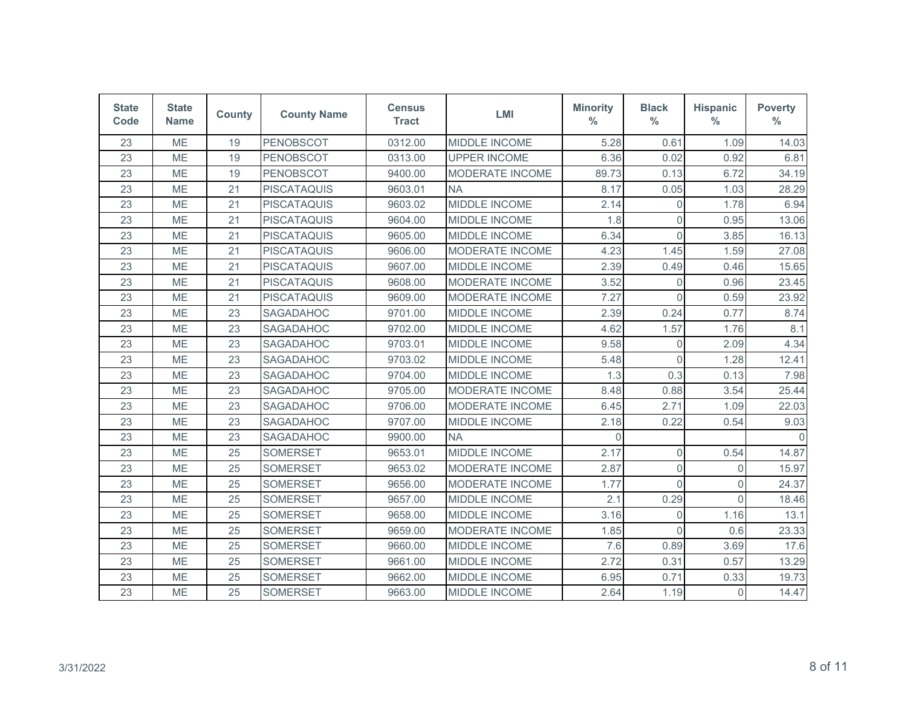| <b>State</b><br>Code | <b>State</b><br><b>Name</b> | <b>County</b> | <b>County Name</b> | <b>Census</b><br><b>Tract</b> | <b>LMI</b>             | <b>Minority</b><br>$\%$ | <b>Black</b><br>$\frac{0}{0}$ | <b>Hispanic</b><br>$\frac{0}{0}$ | <b>Poverty</b><br>$\%$ |
|----------------------|-----------------------------|---------------|--------------------|-------------------------------|------------------------|-------------------------|-------------------------------|----------------------------------|------------------------|
| 23                   | ME                          | 19            | <b>PENOBSCOT</b>   | 0312.00                       | <b>MIDDLE INCOME</b>   | 5.28                    | 0.61                          | 1.09                             | 14.03                  |
| 23                   | <b>ME</b>                   | 19            | <b>PENOBSCOT</b>   | 0313.00                       | <b>UPPER INCOME</b>    | 6.36                    | 0.02                          | 0.92                             | 6.81                   |
| 23                   | ME                          | 19            | <b>PENOBSCOT</b>   | 9400.00                       | MODERATE INCOME        | 89.73                   | 0.13                          | 6.72                             | 34.19                  |
| 23                   | ME                          | 21            | <b>PISCATAQUIS</b> | 9603.01                       | <b>NA</b>              | 8.17                    | 0.05                          | 1.03                             | 28.29                  |
| 23                   | <b>ME</b>                   | 21            | <b>PISCATAQUIS</b> | 9603.02                       | MIDDLE INCOME          | 2.14                    | $\overline{0}$                | 1.78                             | 6.94                   |
| 23                   | <b>ME</b>                   | 21            | <b>PISCATAQUIS</b> | 9604.00                       | MIDDLE INCOME          | 1.8                     | $\overline{0}$                | 0.95                             | 13.06                  |
| 23                   | ME                          | 21            | <b>PISCATAQUIS</b> | 9605.00                       | <b>MIDDLE INCOME</b>   | 6.34                    | $\overline{0}$                | 3.85                             | 16.13                  |
| 23                   | ME                          | 21            | <b>PISCATAQUIS</b> | 9606.00                       | <b>MODERATE INCOME</b> | 4.23                    | 1.45                          | 1.59                             | 27.08                  |
| 23                   | <b>ME</b>                   | 21            | <b>PISCATAQUIS</b> | 9607.00                       | MIDDLE INCOME          | 2.39                    | 0.49                          | 0.46                             | 15.65                  |
| 23                   | ME                          | 21            | <b>PISCATAQUIS</b> | 9608.00                       | MODERATE INCOME        | 3.52                    | $\overline{0}$                | 0.96                             | 23.45                  |
| 23                   | ME                          | 21            | <b>PISCATAQUIS</b> | 9609.00                       | <b>MODERATE INCOME</b> | 7.27                    | $\Omega$                      | 0.59                             | 23.92                  |
| 23                   | ME                          | 23            | SAGADAHOC          | 9701.00                       | <b>MIDDLE INCOME</b>   | 2.39                    | 0.24                          | 0.77                             | 8.74                   |
| 23                   | <b>ME</b>                   | 23            | SAGADAHOC          | 9702.00                       | MIDDLE INCOME          | 4.62                    | 1.57                          | 1.76                             | 8.1                    |
| 23                   | ME                          | 23            | SAGADAHOC          | 9703.01                       | <b>MIDDLE INCOME</b>   | 9.58                    | $\mathbf 0$                   | 2.09                             | 4.34                   |
| 23                   | ME                          | 23            | SAGADAHOC          | 9703.02                       | MIDDLE INCOME          | 5.48                    | $\Omega$                      | 1.28                             | 12.41                  |
| 23                   | <b>ME</b>                   | 23            | <b>SAGADAHOC</b>   | 9704.00                       | MIDDLE INCOME          | 1.3                     | 0.3                           | 0.13                             | 7.98                   |
| 23                   | ME                          | 23            | SAGADAHOC          | 9705.00                       | <b>MODERATE INCOME</b> | 8.48                    | 0.88                          | 3.54                             | 25.44                  |
| 23                   | <b>ME</b>                   | 23            | SAGADAHOC          | 9706.00                       | MODERATE INCOME        | 6.45                    | 2.71                          | 1.09                             | 22.03                  |
| 23                   | ME                          | 23            | SAGADAHOC          | 9707.00                       | MIDDLE INCOME          | 2.18                    | 0.22                          | 0.54                             | 9.03                   |
| 23                   | <b>ME</b>                   | 23            | <b>SAGADAHOC</b>   | 9900.00                       | <b>NA</b>              | $\Omega$                |                               |                                  | $\cap$                 |
| 23                   | ME                          | 25            | <b>SOMERSET</b>    | 9653.01                       | <b>MIDDLE INCOME</b>   | 2.17                    | 0                             | 0.54                             | 14.87                  |
| 23                   | ME                          | 25            | <b>SOMERSET</b>    | 9653.02                       | MODERATE INCOME        | 2.87                    | $\overline{0}$                | $\mathbf{0}$                     | 15.97                  |
| 23                   | ME                          | 25            | <b>SOMERSET</b>    | 9656.00                       | MODERATE INCOME        | 1.77                    | $\Omega$                      | $\overline{0}$                   | 24.37                  |
| 23                   | ME                          | 25            | <b>SOMERSET</b>    | 9657.00                       | MIDDLE INCOME          | 2.1                     | 0.29                          | $\Omega$                         | 18.46                  |
| 23                   | ME                          | 25            | <b>SOMERSET</b>    | 9658.00                       | <b>MIDDLE INCOME</b>   | 3.16                    | 0                             | 1.16                             | 13.1                   |
| 23                   | <b>ME</b>                   | 25            | <b>SOMERSET</b>    | 9659.00                       | MODERATE INCOME        | 1.85                    | $\Omega$                      | 0.6                              | 23.33                  |
| 23                   | <b>ME</b>                   | 25            | <b>SOMERSET</b>    | 9660.00                       | MIDDLE INCOME          | 7.6                     | 0.89                          | 3.69                             | 17.6                   |
| 23                   | ME                          | 25            | <b>SOMERSET</b>    | 9661.00                       | MIDDLE INCOME          | 2.72                    | 0.31                          | 0.57                             | 13.29                  |
| 23                   | ME                          | 25            | <b>SOMERSET</b>    | 9662.00                       | <b>MIDDLE INCOME</b>   | 6.95                    | 0.71                          | 0.33                             | 19.73                  |
| 23                   | ME                          | 25            | <b>SOMERSET</b>    | 9663.00                       | MIDDLE INCOME          | 2.64                    | 1.19                          | $\overline{0}$                   | 14.47                  |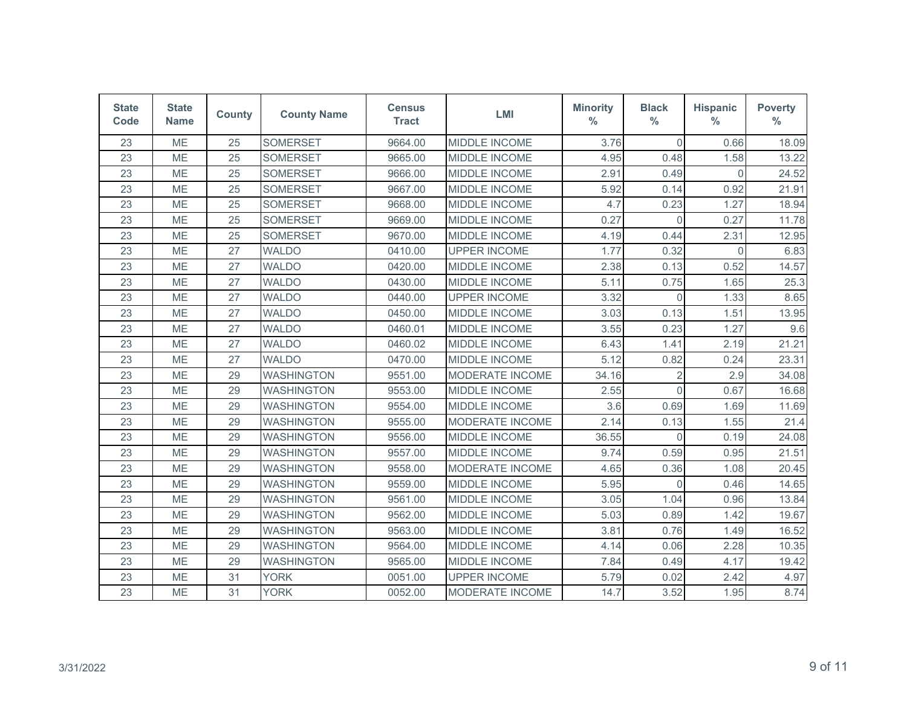| <b>State</b><br>Code | <b>State</b><br><b>Name</b> | <b>County</b> | <b>County Name</b> | <b>Census</b><br><b>Tract</b> | <b>LMI</b>             | <b>Minority</b><br>$\%$ | <b>Black</b><br>$\frac{0}{0}$ | <b>Hispanic</b><br>$\frac{0}{0}$ | <b>Poverty</b><br>$\%$ |
|----------------------|-----------------------------|---------------|--------------------|-------------------------------|------------------------|-------------------------|-------------------------------|----------------------------------|------------------------|
| 23                   | <b>ME</b>                   | 25            | <b>SOMERSET</b>    | 9664.00                       | MIDDLE INCOME          | 3.76                    | $\Omega$                      | 0.66                             | 18.09                  |
| 23                   | ME                          | 25            | <b>SOMERSET</b>    | 9665.00                       | MIDDLE INCOME          | 4.95                    | 0.48                          | 1.58                             | 13.22                  |
| 23                   | ME                          | 25            | <b>SOMERSET</b>    | 9666.00                       | MIDDLE INCOME          | 2.91                    | 0.49                          | $\overline{0}$                   | 24.52                  |
| 23                   | ME                          | 25            | <b>SOMERSET</b>    | 9667.00                       | MIDDLE INCOME          | 5.92                    | 0.14                          | 0.92                             | 21.91                  |
| 23                   | ME                          | 25            | <b>SOMERSET</b>    | 9668.00                       | MIDDLE INCOME          | 4.7                     | 0.23                          | 1.27                             | 18.94                  |
| 23                   | ME                          | 25            | <b>SOMERSET</b>    | 9669.00                       | MIDDLE INCOME          | 0.27                    | $\overline{0}$                | 0.27                             | 11.78                  |
| 23                   | ME                          | 25            | <b>SOMERSET</b>    | 9670.00                       | MIDDLE INCOME          | 4.19                    | 0.44                          | 2.31                             | 12.95                  |
| 23                   | <b>ME</b>                   | 27            | <b>WALDO</b>       | 0410.00                       | <b>UPPER INCOME</b>    | 1.77                    | 0.32                          | $\Omega$                         | 6.83                   |
| 23                   | ME                          | 27            | <b>WALDO</b>       | 0420.00                       | MIDDLE INCOME          | 2.38                    | 0.13                          | 0.52                             | 14.57                  |
| 23                   | ME                          | 27            | <b>WALDO</b>       | 0430.00                       | MIDDLE INCOME          | 5.11                    | 0.75                          | 1.65                             | 25.3                   |
| 23                   | ME                          | 27            | <b>WALDO</b>       | 0440.00                       | <b>UPPER INCOME</b>    | 3.32                    | $\Omega$                      | 1.33                             | 8.65                   |
| 23                   | ME                          | 27            | <b>WALDO</b>       | 0450.00                       | MIDDLE INCOME          | 3.03                    | 0.13                          | 1.51                             | 13.95                  |
| 23                   | ME                          | 27            | <b>WALDO</b>       | 0460.01                       | MIDDLE INCOME          | 3.55                    | 0.23                          | 1.27                             | 9.6                    |
| 23                   | <b>ME</b>                   | 27            | <b>WALDO</b>       | 0460.02                       | <b>MIDDLE INCOME</b>   | 6.43                    | 1.41                          | 2.19                             | 21.21                  |
| 23                   | <b>ME</b>                   | 27            | <b>WALDO</b>       | 0470.00                       | MIDDLE INCOME          | 5.12                    | 0.82                          | 0.24                             | 23.31                  |
| 23                   | ME                          | 29            | <b>WASHINGTON</b>  | 9551.00                       | <b>MODERATE INCOME</b> | 34.16                   | $\overline{2}$                | 2.9                              | 34.08                  |
| 23                   | ME                          | 29            | <b>WASHINGTON</b>  | 9553.00                       | MIDDLE INCOME          | 2.55                    | $\Omega$                      | 0.67                             | 16.68                  |
| 23                   | ME                          | 29            | <b>WASHINGTON</b>  | 9554.00                       | MIDDLE INCOME          | 3.6                     | 0.69                          | 1.69                             | 11.69                  |
| 23                   | ME                          | 29            | <b>WASHINGTON</b>  | 9555.00                       | <b>MODERATE INCOME</b> | 2.14                    | 0.13                          | 1.55                             | 21.4                   |
| 23                   | ME                          | 29            | <b>WASHINGTON</b>  | 9556.00                       | MIDDLE INCOME          | 36.55                   | $\Omega$                      | 0.19                             | 24.08                  |
| 23                   | <b>ME</b>                   | 29            | <b>WASHINGTON</b>  | 9557.00                       | <b>MIDDLE INCOME</b>   | 9.74                    | 0.59                          | 0.95                             | 21.51                  |
| 23                   | ME                          | 29            | <b>WASHINGTON</b>  | 9558.00                       | <b>MODERATE INCOME</b> | 4.65                    | 0.36                          | 1.08                             | 20.45                  |
| 23                   | ME                          | 29            | <b>WASHINGTON</b>  | 9559.00                       | MIDDLE INCOME          | 5.95                    | $\Omega$                      | 0.46                             | 14.65                  |
| 23                   | <b>ME</b>                   | 29            | <b>WASHINGTON</b>  | 9561.00                       | <b>MIDDLE INCOME</b>   | 3.05                    | 1.04                          | 0.96                             | 13.84                  |
| 23                   | ME                          | 29            | <b>WASHINGTON</b>  | 9562.00                       | MIDDLE INCOME          | 5.03                    | 0.89                          | 1.42                             | 19.67                  |
| 23                   | ME                          | 29            | <b>WASHINGTON</b>  | 9563.00                       | MIDDLE INCOME          | 3.81                    | 0.76                          | 1.49                             | 16.52                  |
| 23                   | ME                          | 29            | <b>WASHINGTON</b>  | 9564.00                       | MIDDLE INCOME          | 4.14                    | 0.06                          | 2.28                             | 10.35                  |
| 23                   | ME                          | 29            | <b>WASHINGTON</b>  | 9565.00                       | MIDDLE INCOME          | 7.84                    | 0.49                          | 4.17                             | 19.42                  |
| 23                   | ME                          | 31            | <b>YORK</b>        | 0051.00                       | <b>UPPER INCOME</b>    | 5.79                    | 0.02                          | 2.42                             | 4.97                   |
| 23                   | ME                          | 31            | <b>YORK</b>        | 0052.00                       | MODERATE INCOME        | 14.7                    | 3.52                          | 1.95                             | 8.74                   |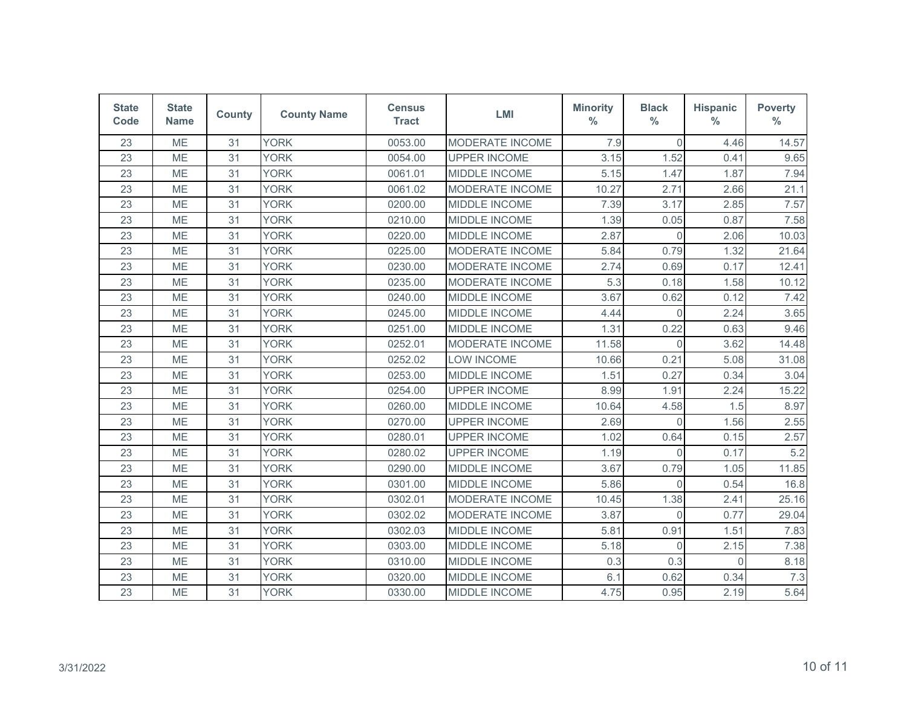| <b>State</b><br>Code | <b>State</b><br><b>Name</b> | <b>County</b> | <b>County Name</b> | <b>Census</b><br><b>Tract</b> | <b>LMI</b>             | <b>Minority</b><br>$\%$ | <b>Black</b><br>$\frac{0}{0}$ | <b>Hispanic</b><br>$\%$ | <b>Poverty</b><br>$\%$ |
|----------------------|-----------------------------|---------------|--------------------|-------------------------------|------------------------|-------------------------|-------------------------------|-------------------------|------------------------|
| 23                   | ME                          | 31            | <b>YORK</b>        | 0053.00                       | <b>MODERATE INCOME</b> | 7.9                     | $\Omega$                      | 4.46                    | 14.57                  |
| 23                   | <b>ME</b>                   | 31            | <b>YORK</b>        | 0054.00                       | <b>UPPER INCOME</b>    | 3.15                    | 1.52                          | 0.41                    | 9.65                   |
| 23                   | ME                          | 31            | <b>YORK</b>        | 0061.01                       | MIDDLE INCOME          | 5.15                    | 1.47                          | 1.87                    | 7.94                   |
| 23                   | ME                          | 31            | <b>YORK</b>        | 0061.02                       | MODERATE INCOME        | 10.27                   | 2.71                          | 2.66                    | 21.1                   |
| 23                   | <b>ME</b>                   | 31            | <b>YORK</b>        | 0200.00                       | MIDDLE INCOME          | 7.39                    | 3.17                          | 2.85                    | 7.57                   |
| 23                   | <b>ME</b>                   | 31            | <b>YORK</b>        | 0210.00                       | MIDDLE INCOME          | 1.39                    | 0.05                          | 0.87                    | 7.58                   |
| 23                   | ME                          | 31            | <b>YORK</b>        | 0220.00                       | MIDDLE INCOME          | 2.87                    | $\overline{0}$                | 2.06                    | 10.03                  |
| 23                   | ME                          | 31            | <b>YORK</b>        | 0225.00                       | MODERATE INCOME        | 5.84                    | 0.79                          | 1.32                    | 21.64                  |
| 23                   | <b>ME</b>                   | 31            | <b>YORK</b>        | 0230.00                       | MODERATE INCOME        | 2.74                    | 0.69                          | 0.17                    | 12.41                  |
| 23                   | ME                          | 31            | <b>YORK</b>        | 0235.00                       | MODERATE INCOME        | 5.3                     | 0.18                          | 1.58                    | 10.12                  |
| 23                   | ME                          | 31            | <b>YORK</b>        | 0240.00                       | <b>MIDDLE INCOME</b>   | 3.67                    | 0.62                          | 0.12                    | 7.42                   |
| 23                   | ME                          | 31            | <b>YORK</b>        | 0245.00                       | MIDDLE INCOME          | 4.44                    | $\overline{0}$                | 2.24                    | 3.65                   |
| 23                   | <b>ME</b>                   | 31            | <b>YORK</b>        | 0251.00                       | MIDDLE INCOME          | 1.31                    | 0.22                          | 0.63                    | 9.46                   |
| 23                   | ME                          | 31            | <b>YORK</b>        | 0252.01                       | MODERATE INCOME        | 11.58                   | $\overline{0}$                | 3.62                    | 14.48                  |
| 23                   | ME                          | 31            | <b>YORK</b>        | 0252.02                       | <b>LOW INCOME</b>      | 10.66                   | 0.21                          | 5.08                    | 31.08                  |
| 23                   | <b>ME</b>                   | 31            | <b>YORK</b>        | 0253.00                       | MIDDLE INCOME          | 1.51                    | 0.27                          | 0.34                    | 3.04                   |
| 23                   | ME                          | 31            | <b>YORK</b>        | 0254.00                       | <b>UPPER INCOME</b>    | 8.99                    | 1.91                          | 2.24                    | 15.22                  |
| 23                   | ME                          | 31            | <b>YORK</b>        | 0260.00                       | MIDDLE INCOME          | 10.64                   | 4.58                          | 1.5                     | 8.97                   |
| 23                   | ME                          | 31            | <b>YORK</b>        | 0270.00                       | <b>UPPER INCOME</b>    | 2.69                    | $\Omega$                      | 1.56                    | 2.55                   |
| 23                   | <b>ME</b>                   | 31            | <b>YORK</b>        | 0280.01                       | <b>UPPER INCOME</b>    | 1.02                    | 0.64                          | 0.15                    | 2.57                   |
| 23                   | ME                          | 31            | <b>YORK</b>        | 0280.02                       | <b>UPPER INCOME</b>    | 1.19                    | $\Omega$                      | 0.17                    | 5.2                    |
| 23                   | ME                          | 31            | <b>YORK</b>        | 0290.00                       | MIDDLE INCOME          | 3.67                    | 0.79                          | 1.05                    | 11.85                  |
| 23                   | ME                          | 31            | <b>YORK</b>        | 0301.00                       | MIDDLE INCOME          | 5.86                    | $\Omega$                      | 0.54                    | 16.8                   |
| 23                   | ME                          | 31            | <b>YORK</b>        | 0302.01                       | <b>MODERATE INCOME</b> | 10.45                   | 1.38                          | 2.41                    | 25.16                  |
| 23                   | ME                          | 31            | <b>YORK</b>        | 0302.02                       | <b>MODERATE INCOME</b> | 3.87                    | $\overline{0}$                | 0.77                    | 29.04                  |
| 23                   | <b>ME</b>                   | 31            | <b>YORK</b>        | 0302.03                       | MIDDLE INCOME          | 5.81                    | 0.91                          | 1.51                    | 7.83                   |
| 23                   | <b>ME</b>                   | 31            | <b>YORK</b>        | 0303.00                       | MIDDLE INCOME          | 5.18                    | $\Omega$                      | 2.15                    | 7.38                   |
| 23                   | ME                          | 31            | <b>YORK</b>        | 0310.00                       | MIDDLE INCOME          | 0.3                     | 0.3                           | $\Omega$                | 8.18                   |
| 23                   | ME                          | 31            | <b>YORK</b>        | 0320.00                       | MIDDLE INCOME          | 6.1                     | 0.62                          | 0.34                    | 7.3                    |
| 23                   | ME                          | 31            | <b>YORK</b>        | 0330.00                       | MIDDLE INCOME          | 4.75                    | 0.95                          | 2.19                    | 5.64                   |